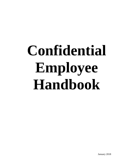# **Confidential Employee Handbook**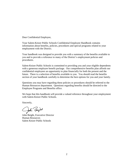Dear Confidential Employee,

Your Salem-Keizer Public Schools Confidential Employee Handbook contains information about benefits, policies, procedures and special programs related to your employment with the District.

Your handbook was designed to provide you with a summary of the benefits available to you and to provide a reference to many of the District's employment policies and procedures.

Salem-Keizer Public Schools is committed to providing you and your eligible dependents with a generous employee benefit package. Our comprehensive benefits plan affords our confidential employees an opportunity to plan financially for both the present and the future. There is a selection of benefits available to you. You should read the benefits section of your handbook carefully to determine the best options for you and your family.

Questions you may have regarding these policies or procedures should be referred to the Human Resources department. Questions regarding benefits should be directed to the Employee Programs and Benefits office.

We hope that this handbook will provide a valued reference throughout your employment with Salem-Keizer Public Schools.

Sincerely,

John Beight

John Beight, Executive Director Human Resources Salem Keizer Public Schools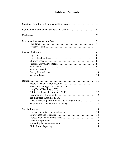## **Table of Contents**

|                                                  | 4  |
|--------------------------------------------------|----|
| Confidential Salary and Classification Schedules | 5  |
|                                                  | 7  |
|                                                  | 7  |
|                                                  | 7  |
|                                                  | 7  |
|                                                  | 8  |
|                                                  | 8  |
|                                                  | 8  |
|                                                  | 8  |
|                                                  | 9  |
|                                                  | 9  |
|                                                  | 9  |
|                                                  | 10 |
|                                                  | 10 |
|                                                  | 11 |
|                                                  | 11 |
|                                                  | 11 |
|                                                  | 11 |
|                                                  | 12 |
|                                                  | 12 |
| Tax Sheltered Annuities (TSA),                   |    |
| Deferred Compensation and U.S. Savings Bonds     | 12 |
|                                                  | 12 |
|                                                  | 13 |
|                                                  | 13 |
|                                                  | 14 |
|                                                  | 14 |
|                                                  | 15 |
|                                                  | 15 |
|                                                  | 15 |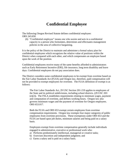## **Confidential Employee**

The following Oregon Revised Statute defines confidential employee: ORS 243.650

(6) "Confidential employee" means one who assists and acts in a confidential capacity to a person who formulates, determines and effectuates management policies in the area of collective bargaining.

It is the policy of the District to maintain and administer a formal salary plan for confidential employees which recognizes the relative value of positions within the District when compared with each other, and which compensates an employee based upon the work of the position.

Confidential employees receive many of the same benefits afforded to administrators such as Early Retirement Incentive (ERI), life insurance, long term disability and leave days. Confidential employees do not pay association dues.

The District considers some confidential employees to be exempt from overtime based on the Fair Labor Standards Act (FLSA) and Oregon law, therefore, paid compensation will not be provided to exempt employees for overtime. The FLSA definition of exempt is as follows:

The Fair Labor Standards Act, 29 USC Section 201-219 applies to employees of the State and its political subdivisions, including school districts. (29 USC 203 (e)(2)). The FSLA establishes requirements relating to minimum wages, payment and computation of overtime, and defines working hours. Oregon law also governs minimum wages and the payment of overtime for Oregon employees. ORS 653.017.

Both the FLSA and ORS 653 exempt certain employees from overtime compensation requirements. Oregon law exempts four major categories of public employees from overtime provisions. These exemptions under ORS 653 and the FLSA are based upon job duties, minimum salaries and being paid on a salary basis.

Employees exempt from overtime compensation generally include individuals engaged in administrative, executive or professional work who:

- a) Performs predominately intellectual, managerial or creative tasks;
- b) Exercises discretion and independent judgment; and
- c) Earns a salary and is paid on a salary basis.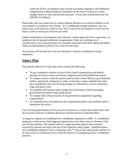Under the FLSA, an employer may provide an exempt employee with additional compensation without losing the exemption in the form of a flat sum, bonus, straight hourly or time and one-half payment. It may also include paid time off. (29CFR 541.064(a)).

Please talk with your supervisor or contact Human Resources to confirm whether or not your position is exempt or non-exempt. As a confidential exempt employee, you can expect your work hours per week to vary, but it will not be uncommon to work over 40 hours a week or even up to 50 hours per week.

Under extraordinary circumstances and with prior written approval from a supervisor, an employee may be granted additional compensation if they are working out of classification or on a special project not normally associated with their regular job duties. These are determined in advance on a case-by-case basis.

No overtime will be paid for work over 40 hours a week for confidential exempt employees.

## **Salary Plan**

The specific objectives of the salary plan include the following:

- To pay competitive salaries as part of the overall compensation and benefit package in order to attract and retain competent and well-qualified personnel.
- To compare salaries with the salaries paid by other school districts, governmental bodies, and private companies in order to maintain a salary schedule that takes into consideration the cost of living changes as reflected by current community wage and salary rates.
- To establish and maintain salary ranges for all positions, which encourages growth and movement within grade levels.
- To comply fully with provisions of all government regulations regarding compensation.
- To communicate to all employees the compensation policy and methods used to administer this policy.

Cost of living adjustments (COLA) may be reviewed on a consult and confer basis with the Executive Director of Human Resources and the District's Superintendent.

A longevity stipend was established for confidential employees in 2004. A confidential employee would receive this longevity stipend once every three years in October of the year he/she qualifies. The stipend will be a single payment equal to the increment received by persons moving to the top of the respective salary grade. Qualified means any confidential employee who is repeating at the  $7<sup>th</sup>$  step of any salary grade and has 10 or more years of continuous service with the District in a bargaining unit or confidential position.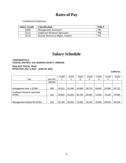# **Rates of Pay**

Confidential Employees

| <b>Salary Grade</b> | <b>Classification</b>                | Title # |
|---------------------|--------------------------------------|---------|
| (509)               | Management Assistant 1               | 784     |
| (512)               | <b>Employee Relations Specialist</b> | 788     |
| (513)               | Human Resources Mgmt. Analyst        | 791     |

# **Salary Schedule**

#### **CONFIDENTIALS SCHOOL DISTRICT 24J, MARION COUNTY, OREGON**

**2016-2017 FISCAL YEAR EFFECTIVE JULY 1,2017 - JUNE 30, 2018**

**2.00% Inc.**

|                                      |               | <b>STEP</b> | <b>STEP</b> | <b>STEP</b> | <b>STEP</b> | <b>STEP</b> | <b>STEP</b> | <b>STEP</b> |
|--------------------------------------|---------------|-------------|-------------|-------------|-------------|-------------|-------------|-------------|
| Title                                | <b>SALARY</b> |             | 2           | 3           | 4           | 5           | 6           |             |
|                                      | <b>GRADE</b>  |             |             |             |             |             |             |             |
|                                      |               |             |             |             |             |             |             |             |
| Management Asst. 1 (0784)            | 509           | 49.012      | 51,496      | 54,096      | 56,719      | 59,662      | 62,583      | 65,712      |
| <b>Employee Relations Specialist</b> |               |             |             |             |             |             |             |             |
| (0794)                               | 513           | 59,662      | 62,583      | 65,782      | 69,094      | 72.545      | 76,182      | 79,990      |
|                                      |               |             |             |             |             |             |             |             |
|                                      |               |             |             |             |             |             |             |             |
| Management Analyst HR (0791)         | 515           | 65,782      | 69.094      | 72.545      | 76,182      | 79,959      | 84.055      | 88.258      |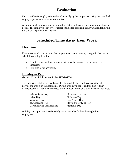# **Evaluation**

Each confidential employee is evaluated annually by their supervisor using the classified employee performance evaluation form(s).

A Confidential employee who is new to the District will serve a six-month probationary period. The employee's supervisor is responsible for conducting an evaluation following the end of the probationary period.

# **Scheduled Time Away from Work**

## **Flex Time**

Employees should consult with their supervisors prior to making changes in their work schedules or using flex time.

- Prior to using flex time, arrangements must be approved by the respective supervisor.
- Flex time is not accruable.

#### **Holidays – Paid**

(District Code of Policies and Rules: HUM-M006)

The following holidays are paid provided the confidential employee is on the active payroll and works on the last regular District workday prior to and the first regular District workday after the occurrence of the holiday, or are on a paid leave on such days.

| Independence Day           |
|----------------------------|
| Labor Day                  |
| Veterans' Day              |
| <b>Thanksgiving Day</b>    |
| Day following Thanksgiving |

Christmas Eve Day Christmas Day New Year's Day Martin Luther King Day Memorial Day

Holiday pay is prorated based on daily work schedules for less than eight-hour employees.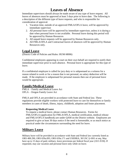# **Leaves of Absence**

Immediate supervisors should always be made aware of any type of leave request. All leaves of absences must be approved at least 3 days prior to leave date. The following is a description of the different type of leave requests, and who is responsible for consideration of approval.

- 1. Vacation time, outside of an approved FMLA/OFLA leave, will be approved by immediate supervisor
- 2. All personal leave will be approved by immediate supervisor, unless it is during a date when personal leave is not available. Personal leave during this period will be approved by Human Resources
- 3. All unpaid leave requests will be approved by Human Resources only.
- 4. All FMLA/OFLA and Contractual leaves of absences will be approved by Human Resources only.

#### **Legal Leave**

(District Code of Policies and Rules: HUM-M006)

Confidential employees appearing in court on their own behalf are required to notify their immediate supervisor prior to such absence. Personal leave is appropriate for this type of leave.

If a confidential employee is called for jury duty or is subpoenaed as a witness for a reason related to work or for a reason that is not personal, no salary deduction will be made. If the employee is subpoenaed for personal reasons then use of personal leave would be appropriate.

#### **Family/Medical Leave**

FMLA – Family and Medical Leave Act OFLA – Oregon Family Leave Act

FMLA and OFLA are provided in accordance with State and Federal law. These regulations provide eligible workers with protected leave to care for themselves or family members in cases of death, illness, injury, childbirth, adoption and foster placement.

#### **Requesting Medical Leave**

To request a medical leave, please contact Human Resources. Forms for FMLA/OFLA (application for FMLA/OFLA, medical certification, medical release and FMLA/OFLA handbook) are under QAM on the District website. Employees are required to give at least 30 days notice if the need is foreseeable, or as much notice as practical under the circumstances surrounding the need for leave.

#### **Military Leave**

Military leave will be provided in accordance with State and Federal law currently listed as ORS 408.290, ORS 659a.093, ORS 659a.171 and USERRA, 38 USC § 4301 et seq. May have up to 15 days of paid, military, leave provisions per federal fiscal year (10/1-9/30). If requested, may use vacation and personal leave only while on leave.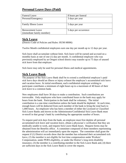## **Personal Leave Days (Paid)**

| <b>Funeral Leave</b>        | 8 hours per funeral   |
|-----------------------------|-----------------------|
| Personal/Emergency          | 3 days per year       |
|                             |                       |
| <b>Family Illness Leave</b> | 5 days per year       |
| <b>Bereavement Leave</b>    |                       |
|                             | 5 days per occurrence |
| (immediate family member)   |                       |

#### **Sick Leave**

(District Code of Policies and Rules: HUM-M006)

Twelve Month confidential employees earn one day per month up to 12 days per year.

Sick leave shall accumulate without limit. Sick leave will be earned and accrued on a monthly basis at rate of one (1) day per month. A confidential employee who was previously employed by an Oregon school district may transfer up to 75 days of unused sick leave from that employer.

Sick leave may only be used for personal illness and medical appointments.

#### **Sick Leave Bank**

The purpose of the Sick Leave Bank shall be to extend a confidential employee's paid sick leave days should an illness or injury exhaust the employee's accumulated sick leave and vacation leave. At initial enrollment, each confidential employee wishing to participate contributes a minimum of eight hours up to a maximum of 40 hours of their sick leave to a common bank.

New employees shall have 30 days to make a contribution. Such contributions are irrevocable. Only employees who have contributed hours to the bank may apply for hours from the bank. Participation in the bank shall be voluntary. The initial contribution is a one-time contribution unless the bank should be depleted. At such time, enough hours will be deducted from each member of the bank to bring the total back to 1,000 hours. An employee who has been a member of either the Licensed or Classified Sick Leave Banks and moves to the Administrator/Confidential Sick Leave Bank must re-enroll in that group's bank by contributing the appropriate number of hours.

To request paid sick days from the bank, an employee must first deplete all personal accumulated sick leave and vacation leave, obtain a physician's verification that they are medically unable to work, and request Sick Leave Bank hours. Request forms may be obtained from the Benefits office. A committee composed of three members representing the administration will act immediately upon the request. The committee shall grant the request if (1) District records show that the member has exhausted their accumulated sick leave, (2) the member is not eligible for lost time compensation under Workers' Compensation, under PERS eligibility, or under the District's long-term disability insurance, (3) the member is a contributing member to the Sick Leave Bank and, (4) there are sufficient days in the Sick Leave Bank to cover the request.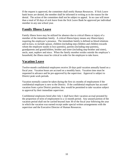If the request is approved, the committee shall notify Human Resources. If Sick Leave bank hours are denied, the member shall be informed in writing as to the reason for the denial. The action of the committee shall not be subject to appeal. In no case will more than a total of 50 days of sick leave from the Sick Leave Bank be approved per individual member in any one school year.

#### **Family Illness Leave**

Family illness leave may be utilized for absence due to critical illness or injury of a member of the immediate family. A critical illness/injury means any illness/injury requiring the employee's presence. The immediate family is defined as blood relations and in-laws, to include spouse, children (including step-children and children towards whom the employee stands in loco parentis), parents (including step-parents), grandparents and grandchildren, brother and sister (including step-brother and sister), uncle, aunt, nephew and niece. When the family member resides outside the employee's household, the illness must be critical in order for the employee to take leave.

#### **Vacation Leave**

Twelve-month confidential employees receive 20 days paid vacation annually based on a fiscal year. Vacation hours are accrued on a monthly basis. Vacation time must be requested in advance and be pre-approved by the supervisor. Approval is subject to District peak work periods.

Vacation normally cannot be taken during the first six months of employment if the confidential employee is new to the District. If the confidential employee has accrued vacation from a prior District position, they would be permitted to take vacation subject to approval by their immediate supervisor.

Confidential employees hired after July 1 shall have their vacation accrual prorated by the proportion of term of employment to a 12-month period. Any unused portion of the vacation period shall not be carried beyond June 30 of the fiscal year following the year in which the vacation was earned except under special written arrangements with the supervisor and the Executive Director of Human Resources.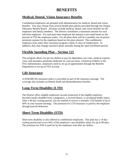# **BENEFITS**

## **Medical, Dental, Vision Insurance Benefits**

Confidential employees are grouped with administrators for medical, dental and vision benefits. You may choose from several health plan options provided through the Oregon Educators Benefit Board. All plans include medical, dental, and vision benefits for the employee and family members. The District contributes a maximum amount for each full-time employee. For each part-time employee the amount is pro-rated based on the percent of FTE the employee works. For all plans there will be a monthly out-of-pocket premium expense for the employee based on the plan selected. The confidential employee must select their insurance program within 31 days of employment. In addition, they may change insurance plans annually during the open enrollment period.

#### **Flexible Spending Plan – Section 125**

This program allows for pre-tax dollars to pay for dependent care costs, medical expense costs, and insurance premiums deducted on a pre-tax basis. (American Fidelity is the FSA Administrator, employees need to set up an appointment through the Benefits Department to set up an FSA account.

## **Life Insurance**

A \$100,000 life insurance policy is provided as part of the insurance package. The coverage also includes accidental death and dismemberment benefits.

## **Long-Term Disability (LTD)**

The District offers eligible employees income protection if the eligible employee becomes totally disabled from a pregnancy, a covered illness, or accidental bodily injury. After a 90-day waiting period, you are entitled to receive a monthly LTD benefit of up to 60% of your insured earnings. The premium for LTD insurance is paid by the employee through payroll deduction.

## **Short-Term Disability (STD)**

Short term disability is also offered to confidential employees. This plan has a 14-day waiting period and covers 60% of the employee's pre-disability salary for up to 90 days. The premium for STD is paid for by the employee with after tax dollars.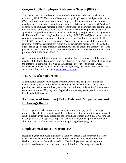## **Oregon Public Employees Retirement System (PERS)**

The District shall not withhold from employee's monthly salaries the contributions required by ORS 238.200; and shall continue to "pick up", assume, and pay a six percent (6%) employee contribution to the Public Employee Retirement Fun for the employee members then participating in the Public Employees Retirement System. Such "pick up" or payment of employee member monthly contributions to the system shall continue until the termination of this agreement. The full amount of required employee contributions "picked up" or paid by the District on behalf of the employees pursuant to this agreement shall be considered as "salary" within the meaning of ORS 238.005(8) for the purpose of computing an employee member's "final average salary" within the meaning of ORS 238.055(12) but shall not be considered as "salary" for the purposes of determining the amount of employee contributions required to be contributed pursuant to ORS 238.200. Such "picked up" or paid employee contributions shall be credited to employee accounts pursuant to ORS 238.200(2) and shall be considered to be employee contributions for the purpose of ORS 238.005 to 238.325.

After six months of full-time employment with the District, employees will become a member of the Public Employees Retirement System. The District will then begin paying the employee's contribution as well as the District/employer contribution. PERS Members Handbooks are available in the Employee Programs and Benefits office as well as on line at the PERS web site at [www.pers.state.or.us](http://www.pers.state.or.us/)

#### **Insurance after Retirement**

A confidential employee who retires from the District may self-pay premiums for medical, dental, vision and life insurance until age 65. The retiree will self-pay the premium to a designated third party administrator or through a deduction from the early retirement incentive (ERI) payment if applicable and as long as the premium amount is less than the ERI payment.

## **Tax Sheltered Annuities (TSA), Deferred Compensation, and US Savings Bonds**

These programs provide ways to set aside money from your paycheck for savings purposes. Tax sheltered annuities and deferred compensation are pre-tax deductions and can be a great way to save. Please call the Payroll Department at 503-399-3016 for a list of companies that are approved for payroll deduction. Payroll can provide information about the rules, regulations and limits on saving through these programs.

## **Employee Assistance Program (EAP)**

Recognizing that employees experience a variety of personal concerns that may affect work performance, Salem-Keizer Public Schools contracts with Reliant Behavioral Health to provide confidential counseling. The Employee Assistance Program is available to all confidential employees and their families. The program is totally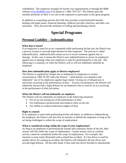confidential. The employee arranges for his/her own appointments at through the RBH website [www.MyRBH.com](http://www.myrbh.com/) or by phone at 1-866-750-1327. The District pays the monthly premium so there is no cost to the employee to participate in this great program.

In addition to counseling services the EAP also provides work/family/life benefits helping with legal issues, financial planning, childcare provider selection, and elder care assistance. They also provide assistance in selling and purchasing a home.

# **Special Programs**

#### **Personal Liability – Indemnification**

#### **What does it mean?**

If an employee is sued for an act committed while performing his/her job, the District has a process in place to provide legal defense for that employee. The process is called indemnification. Indemnification means an act to secure someone against loss or damage. In this case, it means the District uses indemnification to secure its employees against loss or damage when any employee is sued for performing his or her job. The following is a summary of when the District will or will not indemnify (defend) an employee.

#### **How does indemnification apply to District employees?**

The District is required by Oregon law to indemnify its employees in certain circumstances, ORS 30.285 states the District "..shall defend, save harmless and indemnify" any of its employees against legal claims "arising out of alleged acts or omissions occurring in the performance of duty." In most circumstances, the District will indemnify and provide a legal defense for an employee who is sued for an act occurring in the performance of their job duties.

#### **When the District will not indemnify an employee.**

The District will not indemnify an employee in the following situations:

- For an act not arising out of the performance of duty.
- For malfeasance (professional misconduct) while on the job.
- For willful or wanton (malicious) neglect of duty.

#### **Right to counsel.**

If an employee is sued while performing his/her job duties, in addition to indemnifying the employee, the District will also hire an attorney to defend the employee as long as the act being challenged is within the scope of employment.

#### **What is considered acting within the scope of your employment?**

As long as an employee is performing the normal and customary duties of the job, their actions will fall within the scope of employment. Certain actions such as criminal activity cannot be considered within the scope of employment. For example, this situation is most easily illustrated with a school bus accident. If a bus driver is sued by another driver for causing an accident, the District will indemnify the bus driver and provide legal defense. On the other hand, if that same bus driver decided to intentionally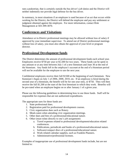ram a pedestrian, that is certainly outside the bus driver's job duties and the District will neither indemnify nor provide legal defense for the bus driver.

In summary, in most situations if an employee is sued because of an act that occurs while working for the District, the District will defend the employee and pay any settlement or judgment obtained against the employee. For more information, contact Risk Management at 503-399-3070.

#### **Conferences and Visitations**

Attendance at in-District professional meetings may be allowed without loss of salary if approved by your immediate supervisor. To attend out of District professional meetings without loss of salary, you must also obtain the approval of your level or program director.

#### **Professional Development funds**

The District determines the amount of professional development funds each school year. Employees receive \$750 per year or \$1,500 for two years. These funds can be spent in any amount or at any time between July 1 of a new biennium and June 30 at the end of the biennium. Any funds left in the employee's account at the end of a biennium period will not be available for the employee to use the next year.

Confidential employees receive their full \$1500 at the beginning of each biennium. New biennium's begin on July 1 of 2006, 2008, 2010, etc. If an employee is hired during the second year of a biennium, the benefit will be for one year only, or \$750. They will then receive the full \$1,500 at the start of the first biennium in which they work. Benefits will be pro-rated when an employee begins on or after January 1 of a given year.

Please use the following guidelines in determining how to use these funds. Staff will be responsible for expenses that are not authorized expenditures.

The appropriate uses for these funds are:

- 1. State professional dues.
- 2. Registration paid for professional development courses.
- 3. Civic organization dues such as Rotary.
- 4. Meals eaten when attending civic organization meetings.
- 5. Other dues and fees of a professional/educational nature.
- 6. Other (must relate directly to one's job assignment)
	- a. Travel expenses related to professional development/education related conferences.
	- b. Publications, periodicals and books of a professional/educational nature.
	- c. Software/compact discs of a professional/educational nature.
	- d. Work related calendar supplies, such as Franklin Planners.
	- e. Administrative/professional licenses.

Examples of inappropriate use of professional development funds include, but are not limited to: